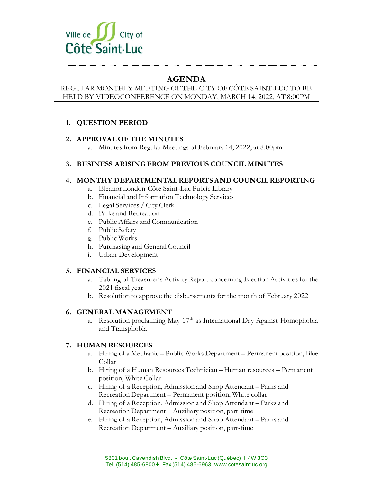

# **AGENDA**

#### REGULAR MONTHLY MEETING OF THE CITY OF CÔTE SAINT-LUC TO BE HELD BY VIDEOCONFERENCE ON MONDAY, MARCH 14, 2022, AT 8:00PM

## **1. QUESTION PERIOD**

### **2. APPROVAL OF THE MINUTES**

a. Minutes from Regular Meetings of February 14, 2022, at 8:00pm

### **3. BUSINESS ARISING FROM PREVIOUS COUNCIL MINUTES**

### **4. MONTHY DEPARTMENTAL REPORTS AND COUNCIL REPORTING**

- a. Eleanor London Côte Saint-Luc Public Library
- b. Financial and Information Technology Services
- c. Legal Services / City Clerk
- d. Parks and Recreation
- e. Public Affairs and Communication
- f. Public Safety
- g. Public Works
- h. Purchasing and General Council
- i. Urban Development

#### **5. FINANCIAL SERVICES**

- a. Tabling of Treasurer's Activity Report concerning Election Activities for the 2021 fiscal year
- b. Resolution to approve the disbursements for the month of February 2022

#### **6. GENERAL MANAGEMENT**

a. Resolution proclaiming May  $17<sup>th</sup>$  as International Day Against Homophobia and Transphobia

### **7. HUMAN RESOURCES**

- a. Hiring of a Mechanic Public Works Department Permanent position, Blue Collar
- b. Hiring of a Human Resources Technician Human resources Permanent position, White Collar
- c. Hiring of a Reception, Admission and Shop Attendant Parks and Recreation Department – Permanent position, White collar
- d. Hiring of a Reception, Admission and Shop Attendant Parks and Recreation Department – Auxiliary position, part-time
- e. Hiring of a Reception, Admission and Shop Attendant Parks and Recreation Department – Auxiliary position, part-time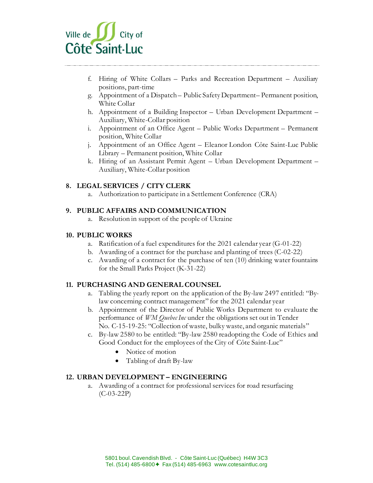

- f. Hiring of White Collars Parks and Recreation Department Auxiliary positions, part-time
- g. Appointment of a Dispatch Public Safety Department– Permanent position, White Collar
- h. Appointment of a Building Inspector Urban Development Department Auxiliary, White-Collar position
- i. Appointment of an Office Agent Public Works Department Permanent position, White Collar
- j. Appointment of an Office Agent Eleanor London Côte Saint-Luc Public Library – Permanent position, White Collar
- k. Hiring of an Assistant Permit Agent Urban Development Department Auxiliary, White-Collar position

### **8. LEGAL SERVICES / CITY CLERK**

a. Authorization to participate in a Settlement Conference (CRA)

### **9. PUBLIC AFFAIRS AND COMMUNICATION**

a. Resolution in support of the people of Ukraine

#### **10. PUBLIC WORKS**

- a. Ratification of a fuel expenditures for the 2021 calendar year (G-01-22)
- b. Awarding of a contract for the purchase and planting of trees (C-02-22)
- c. Awarding of a contract for the purchase of ten (10) drinking water fountains for the Small Parks Project (K-31-22)

### **11. PURCHASING AND GENERAL COUNSEL**

- a. Tabling the yearly report on the application of the By-law 2497 entitled: "Bylaw concerning contract management" for the 2021 calendar year
- b. Appointment of the Director of Public Works Department to evaluate the performance of *WM Quebec Inc* under the obligations set out in Tender No. C-15-19-25: "Collection of waste, bulky waste, and organic materials"
- c. By-law 2580 to be entitled: "By-law 2580 readopting the Code of Ethics and Good Conduct for the employees of the City of Côte Saint-Luc"
	- Notice of motion
	- Tabling of draft By-law

#### **12. URBAN DEVELOPMENT – ENGINEERING**

a. Awarding of a contract for professional services for road resurfacing  $(C-03-22P)$